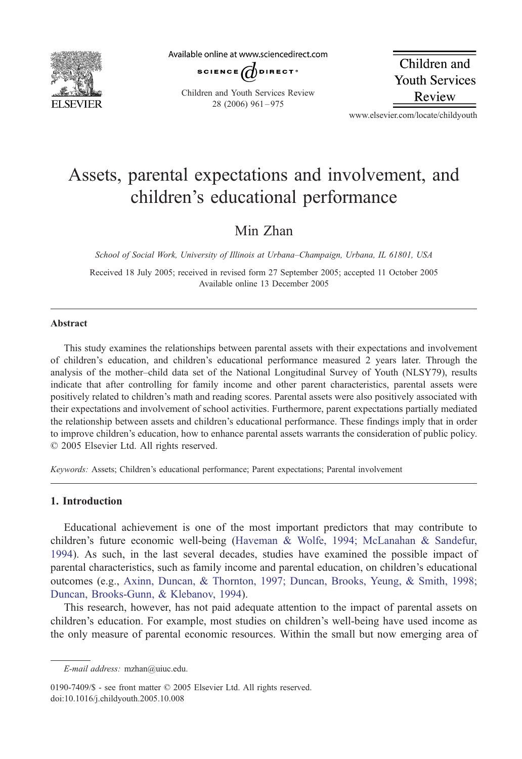

Available online at www.sciencedirect.com



Children and Youth Services Review 28 (2006) 961 – 975

Children and **Youth Services** Review

www.elsevier.com/locate/childyouth

# Assets, parental expectations and involvement, and children's educational performance

Min Zhan

School of Social Work, University of Illinois at Urbana–Champaign, Urbana, IL 61801, USA

Received 18 July 2005; received in revised form 27 September 2005; accepted 11 October 2005 Available online 13 December 2005

#### Abstract

This study examines the relationships between parental assets with their expectations and involvement of children's education, and children's educational performance measured 2 years later. Through the analysis of the mother–child data set of the National Longitudinal Survey of Youth (NLSY79), results indicate that after controlling for family income and other parent characteristics, parental assets were positively related to children's math and reading scores. Parental assets were also positively associated with their expectations and involvement of school activities. Furthermore, parent expectations partially mediated the relationship between assets and children's educational performance. These findings imply that in order to improve children's education, how to enhance parental assets warrants the consideration of public policy.  $© 2005 Elsevier Ltd. All rights reserved.$ 

Keywords: Assets; Children's educational performance; Parent expectations; Parental involvement

# 1. Introduction

Educational achievement is one of the most important predictors that may contribute to children's future economic well-being (Ha[veman & Wolfe, 1994; McLanahan & Sandef](#page-13-0)ur, 1994). As such, in the last several decades, studies have examined the possible impact of parental characteristics, such as family income and parental education, on children's educational outcomes (e.g., A[xinn, Duncan, & Thornton, 1997; Duncan, Brooks, Yeung, & Smith, 199](#page-13-0)8; Duncan, Brooks-Gunn, & Klebanov, 1994).

This research, however, has not paid adequate attention to the impact of parental assets on children's education. For example, most studies on children's well-being have used income as the only measure of parental economic resources. Within the small but now emerging area of

0190-7409/\$ - see front matter © 2005 Elsevier Ltd. All rights reserved. doi:10.1016/j.childyouth.2005.10.008

E-mail address: mzhan@uiuc.edu.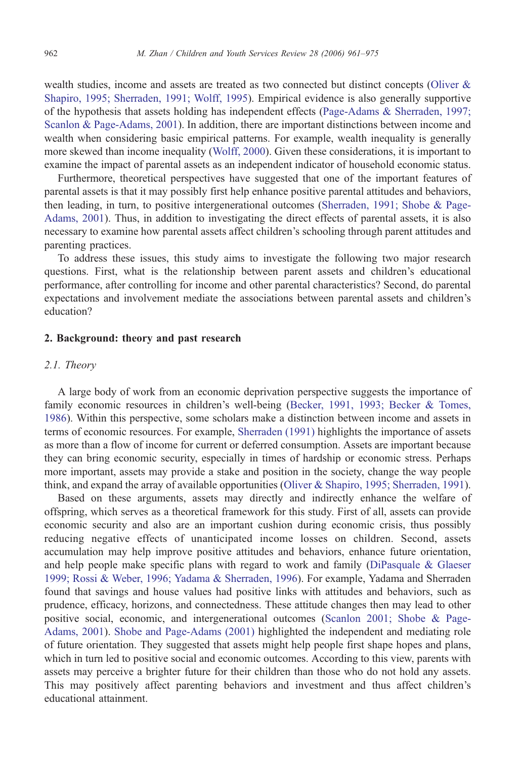wealth studies, income and assets are treated as two connected but distinct concepts (Oli[ver](#page-14-0) & Shapiro, 1995; Sherraden, 1991; Wolff, 1995). Empirical evidence is also generally supportive of the hypothesis that assets holding has independent effects (Pa[ge-Adams & Sherraden, 199](#page-14-0)7; Scanlon & Page-Adams, 2001). In addition, there are important distinctions between income and wealth when considering basic empirical patterns. For example, wealth inequality is generally more skewed than income inequality (W[olff, 2000\). G](#page-14-0)iven these considerations, it is important to examine the impact of parental assets as an independent indicator of household economic status.

Furthermore, theoretical perspectives have suggested that one of the important features of parental assets is that it may possibly first help enhance positive parental attitudes and behaviors, then leading, in turn, to positive intergenerational outcomes (Sh[erraden, 1991; Shobe & Pag](#page-14-0)e-Adams, 2001). Thus, in addition to investigating the direct effects of parental assets, it is also necessary to examine how parental assets affect children's schooling through parent attitudes and parenting practices.

To address these issues, this study aims to investigate the following two major research questions. First, what is the relationship between parent assets and children's educational performance, after controlling for income and other parental characteristics? Second, do parental expectations and involvement mediate the associations between parental assets and children's education?

# 2. Background: theory and past research

#### 2.1. Theory

A large body of work from an economic deprivation perspective suggests the importance of family economic resources in children's well-being (Be[cker, 1991, 1993; Becker & Tome](#page-13-0)s, 1986). Within this perspective, some scholars make a distinction between income and assets in terms of economic resources. For example, Sh[erraden \(1991\)](#page-14-0) highlights the importance of assets as more than a flow of income for current or deferred consumption. Assets are important because they can bring economic security, especially in times of hardship or economic stress. Perhaps more important, assets may provide a stake and position in the society, change the way people think, and expand the array of available opportunities (Oli[ver & Shapiro, 1995; Sherraden, 1991\).](#page-14-0)

Based on these arguments, assets may directly and indirectly enhance the welfare of offspring, which serves as a theoretical framework for this study. First of all, assets can provide economic security and also are an important cushion during economic crisis, thus possibly reducing negative effects of unanticipated income losses on children. Second, assets accumulation may help improve positive attitudes and behaviors, enhance future orientation, and help people make specific plans with regard to work and family (Di[Pasquale & Glaes](#page-13-0)er 1999; Rossi & Weber, 1996; Yadama & Sherraden, 1996). For example, Yadama and Sherraden found that savings and house values had positive links with attitudes and behaviors, such as prudence, efficacy, horizons, and connectedness. These attitude changes then may lead to other positive social, economic, and intergenerational outcomes (Sc[anlon 2001; Shobe & Pag](#page-14-0)e-Adams, 2001). Sh[obe and Page-Adams \(2001\)](#page-14-0) highlighted the independent and mediating role of future orientation. They suggested that assets might help people first shape hopes and plans, which in turn led to positive social and economic outcomes. According to this view, parents with assets may perceive a brighter future for their children than those who do not hold any assets. This may positively affect parenting behaviors and investment and thus affect children's educational attainment.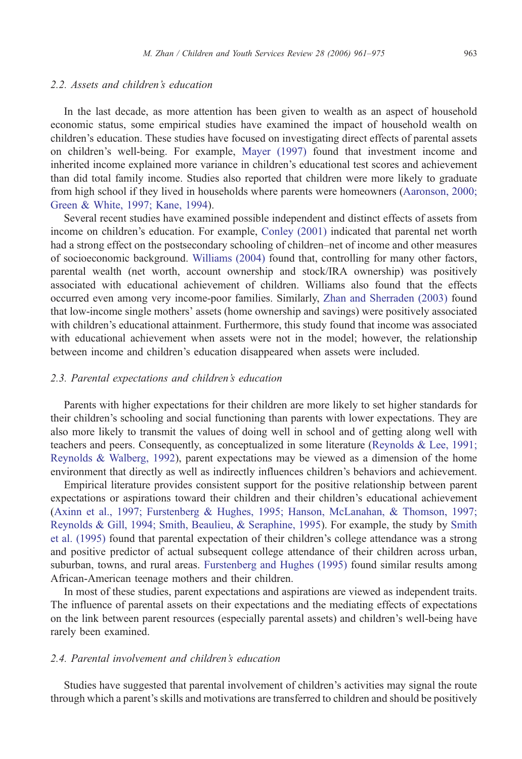# 2.2. Assets and children's education

In the last decade, as more attention has been given to wealth as an aspect of household economic status, some empirical studies have examined the impact of household wealth on children's education. These studies have focused on investigating direct effects of parental assets on children's well-being. For example, M[ayer \(1997\)](#page-14-0) found that investment income and inherited income explained more variance in children's educational test scores and achievement than did total family income. Studies also reported that children were more likely to graduate from high school if they lived in households where parents were homeowners (Aa[ronson, 200](#page-13-0)0; Green & White, 1997; Kane, 1994).

Several recent studies have examined possible independent and distinct effects of assets from income on children's education. For example, Co[nley \(2001\)](#page-13-0) indicated that parental net worth had a strong effect on the postsecondary schooling of children–net of income and other measures of socioeconomic background. W[illiams \(2004\)](#page-14-0) found that, controlling for many other factors, parental wealth (net worth, account ownership and stock/IRA ownership) was positively associated with educational achievement of children. Williams also found that the effects occurred even among very income-poor families. Similarly, Zh[an and Sherraden \(2003\)](#page-14-0) found that low-income single mothers' assets (home ownership and savings) were positively associated with children's educational attainment. Furthermore, this study found that income was associated with educational achievement when assets were not in the model; however, the relationship between income and children's education disappeared when assets were included.

#### 2.3. Parental expectations and children's education

Parents with higher expectations for their children are more likely to set higher standards for their children's schooling and social functioning than parents with lower expectations. They are also more likely to transmit the values of doing well in school and of getting along well with teachers and peers. Consequently, as conceptualized in some literature (Re[ynolds & Lee, 199](#page-14-0)1; Reynolds & Walberg, 1992), parent expectations may be viewed as a dimension of the home environment that directly as well as indirectly influences children's behaviors and achievement.

Empirical literature provides consistent support for the positive relationship between parent expectations or aspirations toward their children and their children's educational achievement (A[xinn et al., 1997; Furstenberg & Hughes, 1995; Hanson, McLanahan, & Thomson, 199](#page-13-0)7; Reynolds & Gill, 1994; Smith, Beaulieu, & Seraphine, 1995). For example, the study by Smith et al. (1995) found that parental expectation of their children's college attendance was a strong and positive predictor of actual subsequent college attendance of their children across urban, suburban, towns, and rural areas. Fu[rstenberg and Hughes \(1995\)](#page-13-0) found similar results among African-American teenage mothers and their children.

In most of these studies, parent expectations and aspirations are viewed as independent traits. The influence of parental assets on their expectations and the mediating effects of expectations on the link between parent resources (especially parental assets) and children's well-being have rarely been examined.

## 2.4. Parental involvement and children's education

Studies have suggested that parental involvement of children's activities may signal the route through which a parent's skills and motivations are transferred to children and should be positively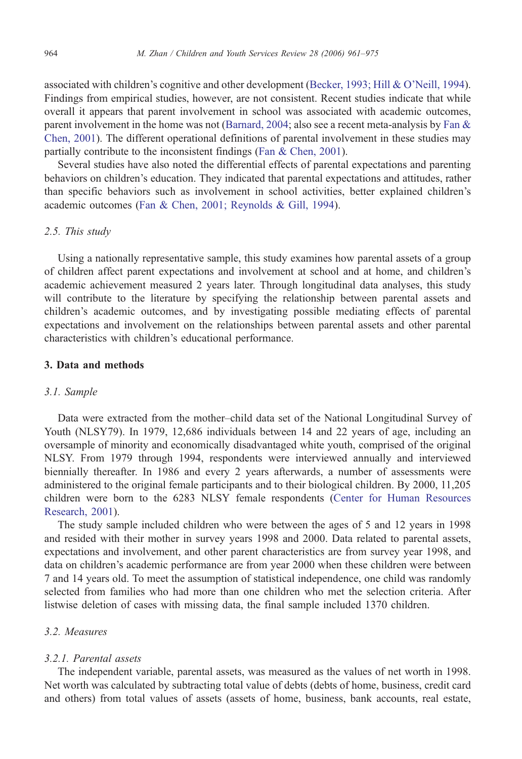associated with children's cognitive and other development (Be[cker, 1993; Hill & O'Neill, 1994\).](#page-13-0) Findings from empirical studies, however, are not consistent. Recent studies indicate that while overall it appears that parent involvement in school was associated with academic outcomes, parent involvement in the home was not (Ba[rnard, 2004; als](#page-13-0)o see a recent meta-analysis by Fa[n](#page-13-0) & Chen, 2001). The different operational definitions of parental involvement in these studies may partially contribute to the inconsistent findings (Fa[n & Chen, 2001\).](#page-13-0)

Several studies have also noted the differential effects of parental expectations and parenting behaviors on children's education. They indicated that parental expectations and attitudes, rather than specific behaviors such as involvement in school activities, better explained children's academic outcomes (Fa[n & Chen, 2001; Reynolds & Gill, 1994\).](#page-13-0)

# 2.5. This study

Using a nationally representative sample, this study examines how parental assets of a group of children affect parent expectations and involvement at school and at home, and children's academic achievement measured 2 years later. Through longitudinal data analyses, this study will contribute to the literature by specifying the relationship between parental assets and children's academic outcomes, and by investigating possible mediating effects of parental expectations and involvement on the relationships between parental assets and other parental characteristics with children's educational performance.

# 3. Data and methods

#### 3.1. Sample

Data were extracted from the mother–child data set of the National Longitudinal Survey of Youth (NLSY79). In 1979, 12,686 individuals between 14 and 22 years of age, including an oversample of minority and economically disadvantaged white youth, comprised of the original NLSY. From 1979 through 1994, respondents were interviewed annually and interviewed biennially thereafter. In 1986 and every 2 years afterwards, a number of assessments were administered to the original female participants and to their biological children. By 2000, 11,205 children were born to the 6283 NLSY female respondents (Ce[nter for Human Resourc](#page-13-0)es Research, 2001).

The study sample included children who were between the ages of 5 and 12 years in 1998 and resided with their mother in survey years 1998 and 2000. Data related to parental assets, expectations and involvement, and other parent characteristics are from survey year 1998, and data on children's academic performance are from year 2000 when these children were between 7 and 14 years old. To meet the assumption of statistical independence, one child was randomly selected from families who had more than one children who met the selection criteria. After listwise deletion of cases with missing data, the final sample included 1370 children.

# 3.2. Measures

#### 3.2.1. Parental assets

The independent variable, parental assets, was measured as the values of net worth in 1998. Net worth was calculated by subtracting total value of debts (debts of home, business, credit card and others) from total values of assets (assets of home, business, bank accounts, real estate,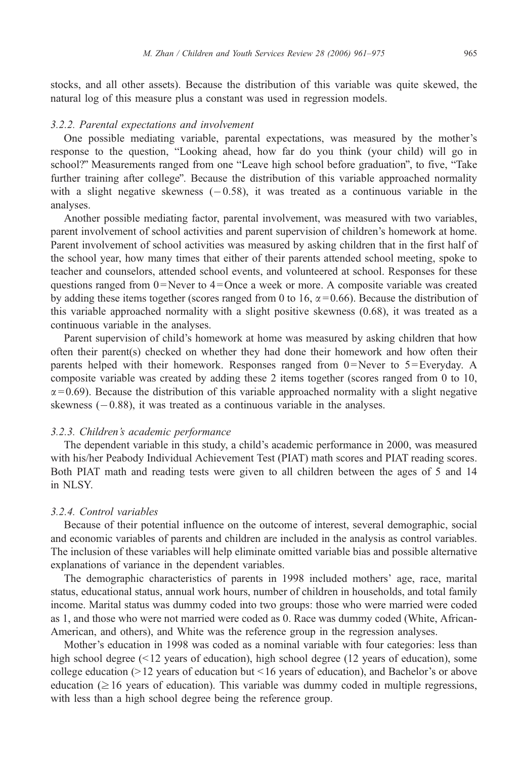stocks, and all other assets). Because the distribution of this variable was quite skewed, the natural log of this measure plus a constant was used in regression models.

## 3.2.2. Parental expectations and involvement

One possible mediating variable, parental expectations, was measured by the mother's response to the question, "Looking ahead, how far do you think (your child) will go in school?" Measurements ranged from one "Leave high school before graduation", to five, "Take further training after college". Because the distribution of this variable approached normality with a slight negative skewness  $(-0.58)$ , it was treated as a continuous variable in the analyses.

Another possible mediating factor, parental involvement, was measured with two variables, parent involvement of school activities and parent supervision of children's homework at home. Parent involvement of school activities was measured by asking children that in the first half of the school year, how many times that either of their parents attended school meeting, spoke to teacher and counselors, attended school events, and volunteered at school. Responses for these questions ranged from  $0 =$  Never to  $4 =$ Once a week or more. A composite variable was created by adding these items together (scores ranged from 0 to 16,  $\alpha = 0.66$ ). Because the distribution of this variable approached normality with a slight positive skewness (0.68), it was treated as a continuous variable in the analyses.

Parent supervision of child's homework at home was measured by asking children that how often their parent(s) checked on whether they had done their homework and how often their parents helped with their homework. Responses ranged from  $0 =$ Never to  $5 =$ Everyday. A composite variable was created by adding these 2 items together (scores ranged from 0 to 10,  $\alpha$  = 0.69). Because the distribution of this variable approached normality with a slight negative skewness  $(-0.88)$ , it was treated as a continuous variable in the analyses.

#### 3.2.3. Children's academic performance

The dependent variable in this study, a child's academic performance in 2000, was measured with his/her Peabody Individual Achievement Test (PIAT) math scores and PIAT reading scores. Both PIAT math and reading tests were given to all children between the ages of 5 and 14 in NLSY.

#### 3.2.4. Control variables

Because of their potential influence on the outcome of interest, several demographic, social and economic variables of parents and children are included in the analysis as control variables. The inclusion of these variables will help eliminate omitted variable bias and possible alternative explanations of variance in the dependent variables.

The demographic characteristics of parents in 1998 included mothers' age, race, marital status, educational status, annual work hours, number of children in households, and total family income. Marital status was dummy coded into two groups: those who were married were coded as 1, and those who were not married were coded as 0. Race was dummy coded (White, African-American, and others), and White was the reference group in the regression analyses.

Mother's education in 1998 was coded as a nominal variable with four categories: less than high school degree  $\leq 12$  years of education), high school degree (12 years of education), some college education ( $> 12$  years of education but  $< 16$  years of education), and Bachelor's or above education ( $\geq$  16 years of education). This variable was dummy coded in multiple regressions, with less than a high school degree being the reference group.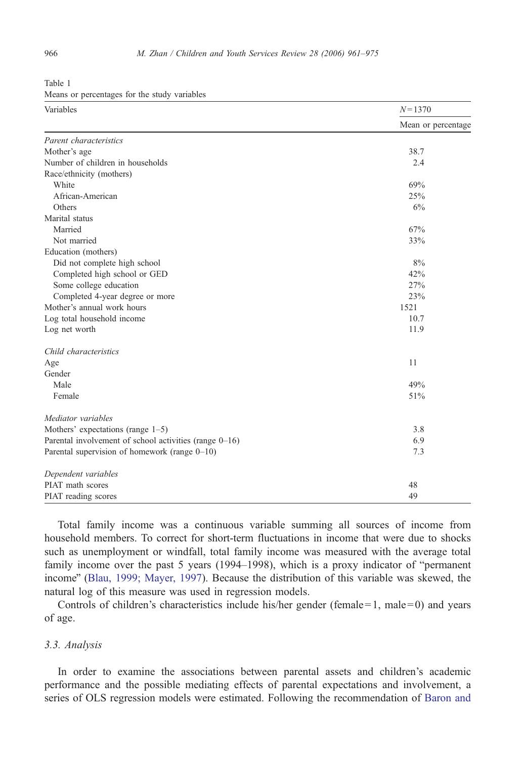Table 1

Means or percentages for the study variables

| Variables                                                 | $N = 1370$         |  |
|-----------------------------------------------------------|--------------------|--|
|                                                           | Mean or percentage |  |
| Parent characteristics                                    |                    |  |
| Mother's age                                              | 38.7               |  |
| Number of children in households                          | 2.4                |  |
| Race/ethnicity (mothers)                                  |                    |  |
| White                                                     | 69%                |  |
| African-American                                          | 25%                |  |
| Others                                                    | 6%                 |  |
| Marital status                                            |                    |  |
| Married                                                   | 67%                |  |
| Not married                                               | 33%                |  |
| Education (mothers)                                       |                    |  |
| Did not complete high school                              | 8%                 |  |
| Completed high school or GED                              | 42%                |  |
| Some college education                                    | 27%                |  |
| Completed 4-year degree or more                           | 23%                |  |
| Mother's annual work hours                                | 1521               |  |
| Log total household income                                | 10.7               |  |
| Log net worth                                             | 11.9               |  |
| Child characteristics                                     |                    |  |
| Age                                                       | 11                 |  |
| Gender                                                    |                    |  |
| Male                                                      | 49%                |  |
| Female                                                    | 51%                |  |
| Mediator variables                                        |                    |  |
| Mothers' expectations (range $1-5$ )                      | 3.8                |  |
| Parental involvement of school activities (range $0-16$ ) | 6.9                |  |
| Parental supervision of homework (range $0-10$ )          | 7.3                |  |
| Dependent variables                                       |                    |  |
| PIAT math scores                                          | 48                 |  |
| PIAT reading scores                                       | 49                 |  |

Total family income was a continuous variable summing all sources of income from household members. To correct for short-term fluctuations in income that were due to shocks such as unemployment or windfall, total family income was measured with the average total family income over the past  $5$  years (1994–1998), which is a proxy indicator of "permanent income" (Bl[au, 1999; Mayer, 1997\). B](#page-13-0)ecause the distribution of this variable was skewed, the natural log of this measure was used in regression models.

Controls of children's characteristics include his/her gender (female =  $1$ , male =  $0$ ) and years of age.

#### 3.3. Analysis

In order to examine the associations between parental assets and children's academic performance and the possible mediating effects of parental expectations and involvement, a series of OLS regression models were estimated. Following the recommendation of Bar[on an](#page-13-0)d

<span id="page-5-0"></span>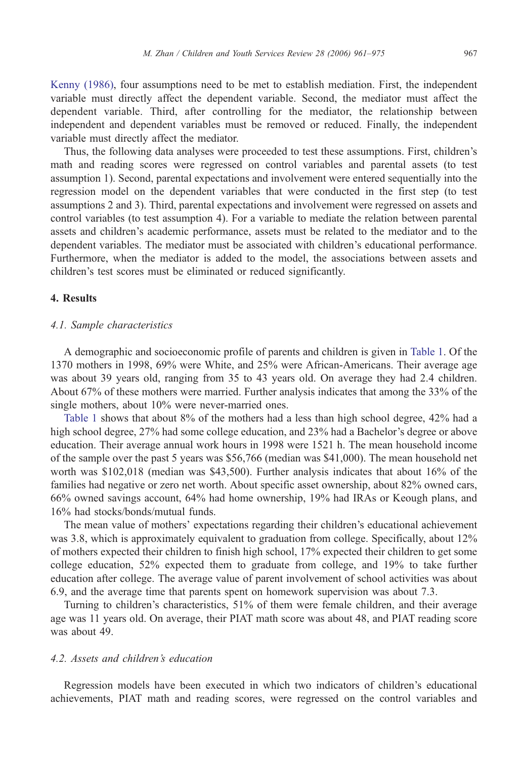Kenny (1986), four assumptions need to be met to establish mediation. First, the independent variable must directly affect the dependent variable. Second, the mediator must affect the dependent variable. Third, after controlling for the mediator, the relationship between independent and dependent variables must be removed or reduced. Finally, the independent variable must directly affect the mediator.

Thus, the following data analyses were proceeded to test these assumptions. First, children's math and reading scores were regressed on control variables and parental assets (to test assumption 1). Second, parental expectations and involvement were entered sequentially into the regression model on the dependent variables that were conducted in the first step (to test assumptions 2 and 3). Third, parental expectations and involvement were regressed on assets and control variables (to test assumption 4). For a variable to mediate the relation between parental assets and children's academic performance, assets must be related to the mediator and to the dependent variables. The mediator must be associated with children's educational performance. Furthermore, when the mediator is added to the model, the associations between assets and children's test scores must be eliminated or reduced significantly.

# 4. Results

#### 4.1. Sample characteristics

A demographic and socioeconomic profile of parents and children is given in Ta[ble 1. Of](#page-5-0) the 1370 mothers in 1998, 69% were White, and 25% were African-Americans. Their average age was about 39 years old, ranging from 35 to 43 years old. On average they had 2.4 children. About 67% of these mothers were married. Further analysis indicates that among the 33% of the single mothers, about 10% were never-married ones.

Ta[ble 1](#page-5-0) shows that about 8% of the mothers had a less than high school degree, 42% had a high school degree, 27% had some college education, and 23% had a Bachelor's degree or above education. Their average annual work hours in 1998 were 1521 h. The mean household income of the sample over the past 5 years was \$56,766 (median was \$41,000). The mean household net worth was \$102,018 (median was \$43,500). Further analysis indicates that about 16% of the families had negative or zero net worth. About specific asset ownership, about 82% owned cars, 66% owned savings account, 64% had home ownership, 19% had IRAs or Keough plans, and 16% had stocks/bonds/mutual funds.

The mean value of mothers' expectations regarding their children's educational achievement was 3.8, which is approximately equivalent to graduation from college. Specifically, about 12% of mothers expected their children to finish high school, 17% expected their children to get some college education, 52% expected them to graduate from college, and 19% to take further education after college. The average value of parent involvement of school activities was about 6.9, and the average time that parents spent on homework supervision was about 7.3.

Turning to children's characteristics, 51% of them were female children, and their average age was 11 years old. On average, their PIAT math score was about 48, and PIAT reading score was about 49.

#### 4.2. Assets and children's education

Regression models have been executed in which two indicators of children's educational achievements, PIAT math and reading scores, were regressed on the control variables and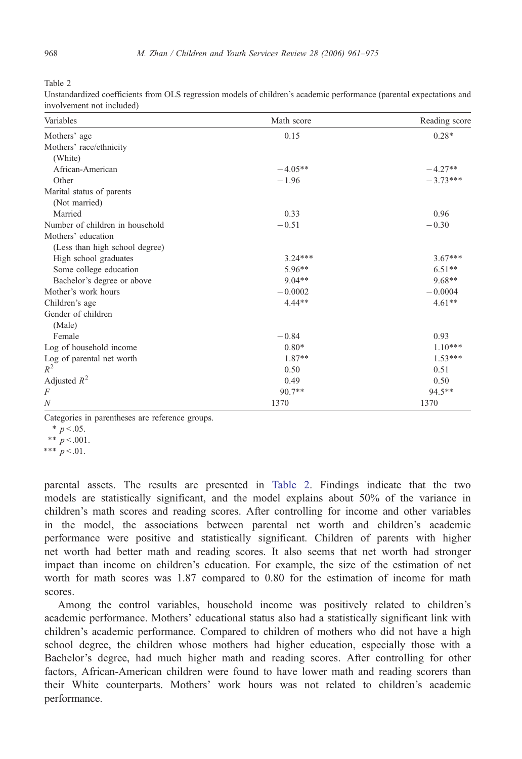Table 2

Variables Reading score Reading score Reading score Reading score Mothers' age  $0.15$  0.28\* Mothers' race/ethnicity (White) African-American  $-4.05**$  $-4.27**$ Other  $1.96$   $-3.73***$ Marital status of parents (Not married) Married 0.33 0.96 Number of children in household  $-0.51$  $0.51$   $-0.30$ Mothers' education (Less than high school degree) High school graduates 3.24\*\*\* 3.67\*\*\* 3.67\*\*\* Some college education 6.51\*\* 6.51\*\* Bachelor's degree or above 9.04\*\* 9.04\*\* 9.04\*\* 9.968\*\* Mother's work hours  $-0.0002$  $-0.0004$ Children's age  $4.61**$   $4.44**$   $4.61**$ Gender of children (Male) Female  $-$ 0.84 0.93 Log of household income  $0.80^*$  1.10\*\*\*<br>
Log of parental net worth  $1.87^{**}$  1.53\*\*\* Log of parental net worth  $R^2$ .  $R^2$  0.50 0.51 Adjusted  $R^2$  0.50<br>  $F$  90.7<sup>\*\*</sup> 90.7<sup>\*\*</sup> 94.5<sup>\*</sup> F 90.7\*\* 94.5\*\* 94.5\*\*  $N$  1370 1370

Unstandardized coefficients from OLS regression models of children's academic performance (parental expectations and involvement not included)

Categories in parentheses are reference groups.

parental assets. The results are presented in Table 2. Findings indicate that the two models are statistically significant, and the model explains about 50% of the variance in children's math scores and reading scores. After controlling for income and other variables in the model, the associations between parental net worth and children's academic performance were positive and statistically significant. Children of parents with higher net worth had better math and reading scores. It also seems that net worth had stronger impact than income on children's education. For example, the size of the estimation of net worth for math scores was 1.87 compared to 0.80 for the estimation of income for math scores.

Among the control variables, household income was positively related to children's academic performance. Mothers' educational status also had a statistically significant link with children's academic performance. Compared to children of mothers who did not have a high school degree, the children whose mothers had higher education, especially those with a Bachelor's degree, had much higher math and reading scores. After controlling for other factors, African-American children were found to have lower math and reading scorers than their White counterparts. Mothers' work hours was not related to children's academic performance.

 $*$  p < 05.

<sup>\*\*</sup>  $p < .001$ .

<sup>\*\*\*</sup>  $p < 0.01$ .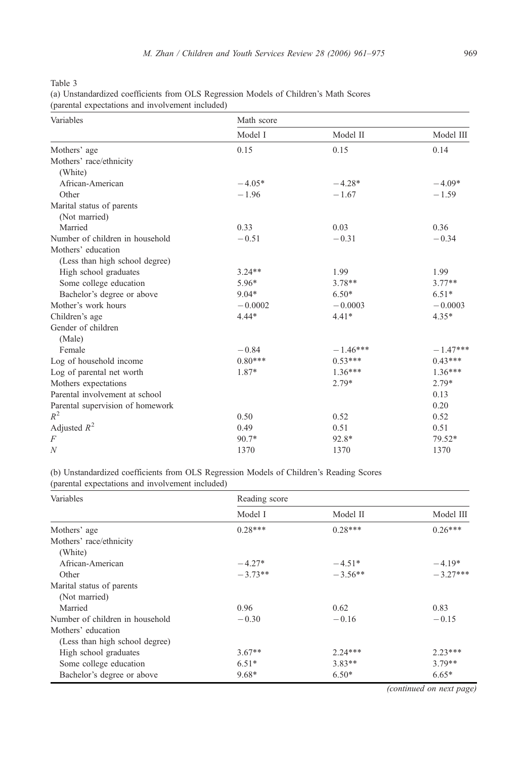<span id="page-8-0"></span>Table 3

|                                                  |  |  | (a) Unstandardized coefficients from OLS Regression Models of Children's Math Scores |  |
|--------------------------------------------------|--|--|--------------------------------------------------------------------------------------|--|
| (parental expectations and involvement included) |  |  |                                                                                      |  |

| Variables                        | Math score |            |            |  |
|----------------------------------|------------|------------|------------|--|
|                                  | Model I    | Model II   | Model III  |  |
| Mothers' age                     | 0.15       | 0.15       | 0.14       |  |
| Mothers' race/ethnicity          |            |            |            |  |
| (White)                          |            |            |            |  |
| African-American                 | $-4.05*$   | $-4.28*$   | $-4.09*$   |  |
| Other                            | $-1.96$    | $-1.67$    | $-1.59$    |  |
| Marital status of parents        |            |            |            |  |
| (Not married)                    |            |            |            |  |
| Married                          | 0.33       | 0.03       | 0.36       |  |
| Number of children in household  | $-0.51$    | $-0.31$    | $-0.34$    |  |
| Mothers' education               |            |            |            |  |
| (Less than high school degree)   |            |            |            |  |
| High school graduates            | $3.24**$   | 1.99       | 1.99       |  |
| Some college education           | $5.96*$    | $3.78**$   | $3.77**$   |  |
| Bachelor's degree or above       | $9.04*$    | $6.50*$    | $6.51*$    |  |
| Mother's work hours              | $-0.0002$  | $-0.0003$  | $-0.0003$  |  |
| Children's age                   | $4.44*$    | $4.41*$    | $4.35*$    |  |
| Gender of children               |            |            |            |  |
| (Male)                           |            |            |            |  |
| Female                           | $-0.84$    | $-1.46***$ | $-1.47***$ |  |
| Log of household income          | $0.80***$  | $0.53***$  | $0.43***$  |  |
| Log of parental net worth        | 1.87*      | $1.36***$  | $1.36***$  |  |
| Mothers expectations             |            | $2.79*$    | $2.79*$    |  |
| Parental involvement at school   |            |            | 0.13       |  |
| Parental supervision of homework |            |            | 0.20       |  |
| $R^2$                            | 0.50       | 0.52       | 0.52       |  |
| Adjusted $R^2$                   | 0.49       | 0.51       | 0.51       |  |
| $\overline{F}$                   | 90.7*      | 92.8*      | 79.52*     |  |
| N                                | 1370       | 1370       | 1370       |  |

(b) Unstandardized coefficients from OLS Regression Models of Children's Reading Scores (parental expectations and involvement included)

| Variables                       | Reading score |           |            |  |
|---------------------------------|---------------|-----------|------------|--|
|                                 | Model I       | Model II  | Model III  |  |
| Mothers' age                    | $0.28***$     | $0.28***$ | $0.26***$  |  |
| Mothers' race/ethnicity         |               |           |            |  |
| (White)                         |               |           |            |  |
| African-American                | $-4.27*$      | $-4.51*$  | $-4.19*$   |  |
| Other                           | $-3.73**$     | $-3.56**$ | $-3.27***$ |  |
| Marital status of parents       |               |           |            |  |
| (Not married)                   |               |           |            |  |
| Married                         | 0.96          | 0.62      | 0.83       |  |
| Number of children in household | $-0.30$       | $-0.16$   | $-0.15$    |  |
| Mothers' education              |               |           |            |  |
| (Less than high school degree)  |               |           |            |  |
| High school graduates           | $3.67**$      | $2.24***$ | $2.23***$  |  |
| Some college education          | $6.51*$       | $3.83**$  | $3.79**$   |  |
| Bachelor's degree or above      | $9.68*$       | $6.50*$   | $6.65*$    |  |

(continued on next page)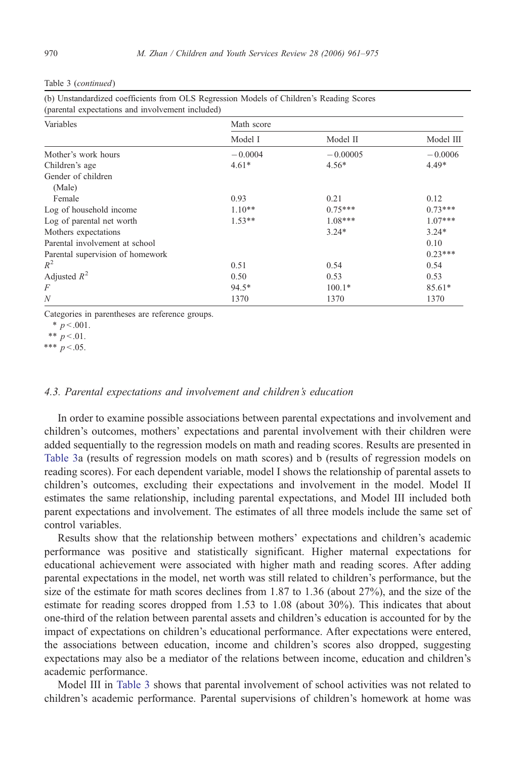| (b) Unstandardized coefficients from OLS Regression Models of Children's Reading Scores<br>(parental expectations and involvement included) |            |            |           |  |
|---------------------------------------------------------------------------------------------------------------------------------------------|------------|------------|-----------|--|
| Variables                                                                                                                                   | Math score |            |           |  |
|                                                                                                                                             | Model I    | Model II   | Model III |  |
| Mother's work hours                                                                                                                         | $-0.0004$  | $-0.00005$ | $-0.0006$ |  |
| Children's age                                                                                                                              | $4.61*$    | $4.56*$    | $4.49*$   |  |
| Gender of children                                                                                                                          |            |            |           |  |
| (Male)                                                                                                                                      |            |            |           |  |
| Female                                                                                                                                      | 0.93       | 0.21       | 0.12      |  |
| Log of household income                                                                                                                     | $1.10**$   | $0.75***$  | $0.73***$ |  |
| Log of parental net worth                                                                                                                   | $1.53**$   | $1.08***$  | $1.07***$ |  |
| Mothers expectations                                                                                                                        |            | $3.24*$    | $3.24*$   |  |
| Parental involvement at school                                                                                                              |            |            | 0.10      |  |
| Parental supervision of homework                                                                                                            |            |            | $0.23***$ |  |
| $R^2$                                                                                                                                       | 0.51       | 0.54       | 0.54      |  |
| Adjusted $R^2$                                                                                                                              | 0.50       | 0.53       | 0.53      |  |
| F                                                                                                                                           | $94.5*$    | $100.1*$   | $85.61*$  |  |
| $\boldsymbol{N}$                                                                                                                            | 1370       | 1370       | 1370      |  |

Table 3 (continued)

Categories in parentheses are reference groups.

\*\*\*  $p < 0.05$ .

#### 4.3. Parental expectations and involvement and children's education

In order to examine possible associations between parental expectations and involvement and children's outcomes, mothers' expectations and parental involvement with their children were added sequentially to the regression models on math and reading scores. Results are presented in Ta[ble 3a \(r](#page-8-0)esults of regression models on math scores) and b (results of regression models on reading scores). For each dependent variable, model I shows the relationship of parental assets to children's outcomes, excluding their expectations and involvement in the model. Model II estimates the same relationship, including parental expectations, and Model III included both parent expectations and involvement. The estimates of all three models include the same set of control variables.

Results show that the relationship between mothers' expectations and children's academic performance was positive and statistically significant. Higher maternal expectations for educational achievement were associated with higher math and reading scores. After adding parental expectations in the model, net worth was still related to children's performance, but the size of the estimate for math scores declines from 1.87 to 1.36 (about 27%), and the size of the estimate for reading scores dropped from 1.53 to 1.08 (about 30%). This indicates that about one-third of the relation between parental assets and children's education is accounted for by the impact of expectations on children's educational performance. After expectations were entered, the associations between education, income and children's scores also dropped, suggesting expectations may also be a mediator of the relations between income, education and children's academic performance.

Model III in Ta[ble 3](#page-8-0) shows that parental involvement of school activities was not related to children's academic performance. Parental supervisions of children's homework at home was

 $*$  p < 001.

<sup>\*\*</sup>  $p < .01$ .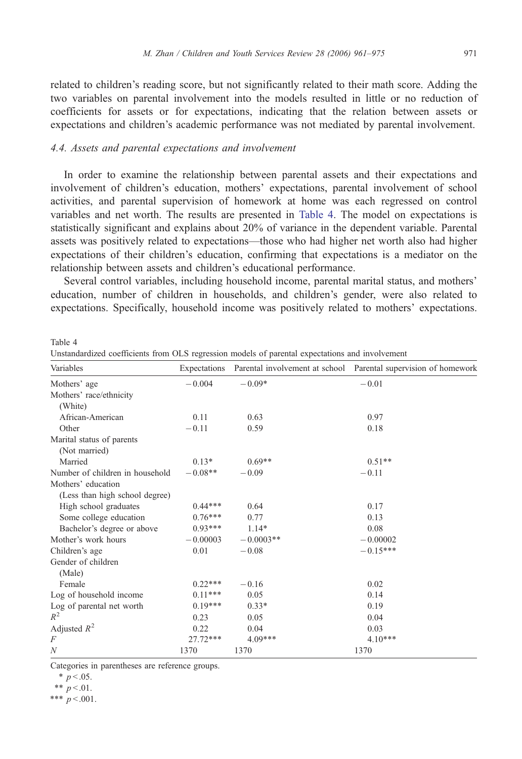<span id="page-10-0"></span>related to children's reading score, but not significantly related to their math score. Adding the two variables on parental involvement into the models resulted in little or no reduction of coefficients for assets or for expectations, indicating that the relation between assets or expectations and children's academic performance was not mediated by parental involvement.

## 4.4. Assets and parental expectations and involvement

In order to examine the relationship between parental assets and their expectations and involvement of children's education, mothers' expectations, parental involvement of school activities, and parental supervision of homework at home was each regressed on control variables and net worth. The results are presented in Table 4. The model on expectations is statistically significant and explains about 20% of variance in the dependent variable. Parental assets was positively related to expectations—those who had higher net worth also had higher expectations of their children's education, confirming that expectations is a mediator on the relationship between assets and children's educational performance.

Several control variables, including household income, parental marital status, and mothers' education, number of children in households, and children's gender, were also related to expectations. Specifically, household income was positively related to mothers' expectations.

Table 4

Unstandardized coefficients from OLS regression models of parental expectations and involvement

| Variables                       |            | Expectations Parental involvement at school | Parental supervision of homework |
|---------------------------------|------------|---------------------------------------------|----------------------------------|
| Mothers' age                    | $-0.004$   | $-0.09*$                                    | $-0.01$                          |
| Mothers' race/ethnicity         |            |                                             |                                  |
| (White)                         |            |                                             |                                  |
| African-American                | 0.11       | 0.63                                        | 0.97                             |
| Other                           | $-0.11$    | 0.59                                        | 0.18                             |
| Marital status of parents       |            |                                             |                                  |
| (Not married)                   |            |                                             |                                  |
| Married                         | $0.13*$    | $0.69**$                                    | $0.51**$                         |
| Number of children in household | $-0.08**$  | $-0.09$                                     | $-0.11$                          |
| Mothers' education              |            |                                             |                                  |
| (Less than high school degree)  |            |                                             |                                  |
| High school graduates           | $0.44***$  | 0.64                                        | 0.17                             |
| Some college education          | $0.76***$  | 0.77                                        | 0.13                             |
| Bachelor's degree or above      | $0.93***$  | $1.14*$                                     | 0.08                             |
| Mother's work hours             | $-0.00003$ | $-0.0003**$                                 | $-0.00002$                       |
| Children's age                  | 0.01       | $-0.08$                                     | $-0.15***$                       |
| Gender of children              |            |                                             |                                  |
| (Male)                          |            |                                             |                                  |
| Female                          | $0.22***$  | $-0.16$                                     | 0.02                             |
| Log of household income         | $0.11***$  | 0.05                                        | 0.14                             |
| Log of parental net worth       | $0.19***$  | $0.33*$                                     | 0.19                             |
| $R^2$                           | 0.23       | 0.05                                        | 0.04                             |
| Adjusted $R^2$                  | 0.22       | 0.04                                        | 0.03                             |
| $\boldsymbol{F}$                | $27.72***$ | $4.09***$                                   | $4.10***$                        |
| N                               | 1370       | 1370                                        | 1370                             |

Categories in parentheses are reference groups.

\*\*\*  $p < .001$ .

<sup>\*</sup>  $p < .05$ .

<sup>\*\*</sup>  $p < .01$ .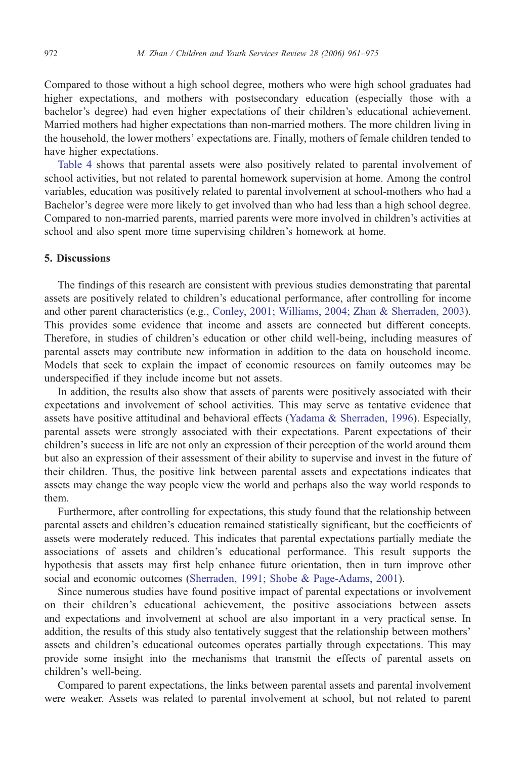Compared to those without a high school degree, mothers who were high school graduates had higher expectations, and mothers with postsecondary education (especially those with a bachelor's degree) had even higher expectations of their children's educational achievement. Married mothers had higher expectations than non-married mothers. The more children living in the household, the lower mothers' expectations are. Finally, mothers of female children tended to have higher expectations.

Ta[ble 4](#page-10-0) shows that parental assets were also positively related to parental involvement of school activities, but not related to parental homework supervision at home. Among the control variables, education was positively related to parental involvement at school-mothers who had a Bachelor's degree were more likely to get involved than who had less than a high school degree. Compared to non-married parents, married parents were more involved in children's activities at school and also spent more time supervising children's homework at home.

# 5. Discussions

The findings of this research are consistent with previous studies demonstrating that parental assets are positively related to children's educational performance, after controlling for income and other parent characteristics (e.g., Co[nley, 2001; Williams, 2004; Zhan & Sherraden, 2003\).](#page-13-0) This provides some evidence that income and assets are connected but different concepts. Therefore, in studies of children's education or other child well-being, including measures of parental assets may contribute new information in addition to the data on household income. Models that seek to explain the impact of economic resources on family outcomes may be underspecified if they include income but not assets.

In addition, the results also show that assets of parents were positively associated with their expectations and involvement of school activities. This may serve as tentative evidence that assets have positive attitudinal and behavioral effects (Ya[dama & Sherraden, 1996\). E](#page-14-0)specially, parental assets were strongly associated with their expectations. Parent expectations of their children's success in life are not only an expression of their perception of the world around them but also an expression of their assessment of their ability to supervise and invest in the future of their children. Thus, the positive link between parental assets and expectations indicates that assets may change the way people view the world and perhaps also the way world responds to them.

Furthermore, after controlling for expectations, this study found that the relationship between parental assets and children's education remained statistically significant, but the coefficients of assets were moderately reduced. This indicates that parental expectations partially mediate the associations of assets and children's educational performance. This result supports the hypothesis that assets may first help enhance future orientation, then in turn improve other social and economic outcomes (Sh[erraden, 1991; Shobe & Page-Adams, 2001\).](#page-14-0)

Since numerous studies have found positive impact of parental expectations or involvement on their children's educational achievement, the positive associations between assets and expectations and involvement at school are also important in a very practical sense. In addition, the results of this study also tentatively suggest that the relationship between mothers' assets and children's educational outcomes operates partially through expectations. This may provide some insight into the mechanisms that transmit the effects of parental assets on children's well-being.

Compared to parent expectations, the links between parental assets and parental involvement were weaker. Assets was related to parental involvement at school, but not related to parent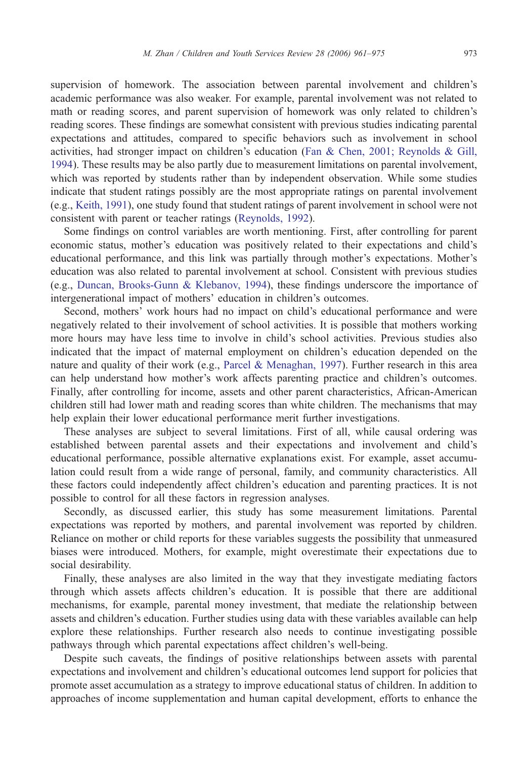supervision of homework. The association between parental involvement and children's academic performance was also weaker. For example, parental involvement was not related to math or reading scores, and parent supervision of homework was only related to children's reading scores. These findings are somewhat consistent with previous studies indicating parental expectations and attitudes, compared to specific behaviors such as involvement in school activities, had stronger impact on children's education (Fa[n & Chen, 2001; Reynolds & G](#page-13-0)ill, 1994). These results may be also partly due to measurement limitations on parental involvement, which was reported by students rather than by independent observation. While some studies indicate that student ratings possibly are the most appropriate ratings on parental involvement (e.g., K[eith, 1991\), o](#page-13-0)ne study found that student ratings of parent involvement in school were not consistent with parent or teacher ratings (Re[ynolds, 1992\).](#page-14-0)

Some findings on control variables are worth mentioning. First, after controlling for parent economic status, mother's education was positively related to their expectations and child's educational performance, and this link was partially through mother's expectations. Mother's education was also related to parental involvement at school. Consistent with previous studies (e.g., D[uncan, Brooks-Gunn & Klebanov, 1994\), th](#page-13-0)ese findings underscore the importance of intergenerational impact of mothers' education in children's outcomes.

Second, mothers' work hours had no impact on child's educational performance and were negatively related to their involvement of school activities. It is possible that mothers working more hours may have less time to involve in child's school activities. Previous studies also indicated that the impact of maternal employment on children's education depended on the nature and quality of their work (e.g., Pa[rcel & Menaghan, 1997\). F](#page-14-0)urther research in this area can help understand how mother's work affects parenting practice and children's outcomes. Finally, after controlling for income, assets and other parent characteristics, African-American children still had lower math and reading scores than white children. The mechanisms that may help explain their lower educational performance merit further investigations.

These analyses are subject to several limitations. First of all, while causal ordering was established between parental assets and their expectations and involvement and child's educational performance, possible alternative explanations exist. For example, asset accumulation could result from a wide range of personal, family, and community characteristics. All these factors could independently affect children's education and parenting practices. It is not possible to control for all these factors in regression analyses.

Secondly, as discussed earlier, this study has some measurement limitations. Parental expectations was reported by mothers, and parental involvement was reported by children. Reliance on mother or child reports for these variables suggests the possibility that unmeasured biases were introduced. Mothers, for example, might overestimate their expectations due to social desirability.

Finally, these analyses are also limited in the way that they investigate mediating factors through which assets affects children's education. It is possible that there are additional mechanisms, for example, parental money investment, that mediate the relationship between assets and children's education. Further studies using data with these variables available can help explore these relationships. Further research also needs to continue investigating possible pathways through which parental expectations affect children's well-being.

Despite such caveats, the findings of positive relationships between assets with parental expectations and involvement and children's educational outcomes lend support for policies that promote asset accumulation as a strategy to improve educational status of children. In addition to approaches of income supplementation and human capital development, efforts to enhance the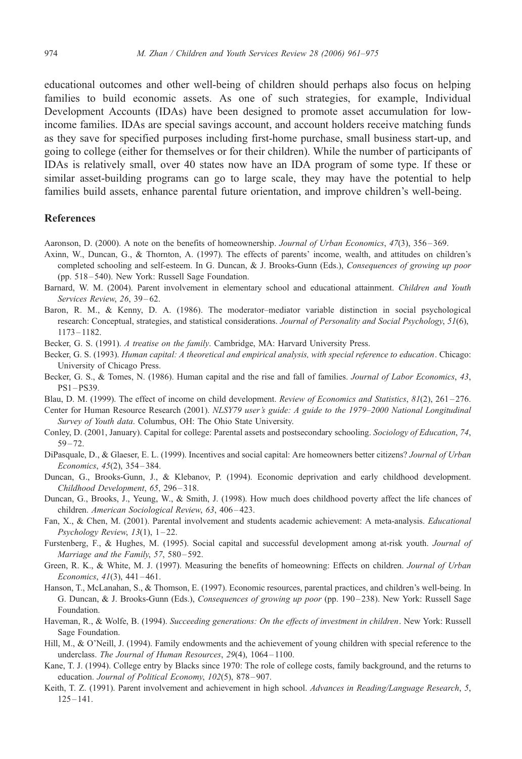<span id="page-13-0"></span>educational outcomes and other well-being of children should perhaps also focus on helping families to build economic assets. As one of such strategies, for example, Individual Development Accounts (IDAs) have been designed to promote asset accumulation for lowincome families. IDAs are special savings account, and account holders receive matching funds as they save for specified purposes including first-home purchase, small business start-up, and going to college (either for themselves or for their children). While the number of participants of IDAs is relatively small, over 40 states now have an IDA program of some type. If these or similar asset-building programs can go to large scale, they may have the potential to help families build assets, enhance parental future orientation, and improve children's well-being.

# References

- Aaronson, D. (2000). A note on the benefits of homeownership. Journal of Urban Economics, 47(3), 356-369.
- Axinn, W., Duncan, G., & Thornton, A. (1997). The effects of parents' income, wealth, and attitudes on children's completed schooling and self-esteem. In G. Duncan, & J. Brooks-Gunn (Eds.), Consequences of growing up poor (pp.  $518 - 540$ ). New York: Russell Sage Foundation.
- Barnard, W. M. (2004). Parent involvement in elementary school and educational attainment. Children and Youth Services Review, 26, 39-62.
- Baron, R. M., & Kenny, D. A. (1986). The moderator–mediator variable distinction in social psychological research: Conceptual, strategies, and statistical considerations. Journal of Personality and Social Psychology, 51(6), 1173 – 1182.
- Becker, G. S. (1991). A treatise on the family. Cambridge, MA: Harvard University Press.
- Becker, G. S. (1993). Human capital: A theoretical and empirical analysis, with special reference to education. Chicago: University of Chicago Press.
- Becker, G. S., & Tomes, N. (1986). Human capital and the rise and fall of families. Journal of Labor Economics, 43, PS1 – PS39.
- Blau, D. M. (1999). The effect of income on child development. Review of Economics and Statistics, 81(2), 261-276.
- Center for Human Resource Research (2001). NLSY79 user's guide: A guide to the 1979–2000 National Longitudinal Survey of Youth data. Columbus, OH: The Ohio State University.
- Conley, D. (2001, January). Capital for college: Parental assets and postsecondary schooling. Sociology of Education, 74,  $59 - 72.$
- DiPasquale, D., & Glaeser, E. L. (1999). Incentives and social capital: Are homeowners better citizens? Journal of Urban Economics, 45(2), 354 – 384.
- Duncan, G., Brooks-Gunn, J., & Klebanov, P. (1994). Economic deprivation and early childhood development. Childhood Development, 65, 296-318.
- Duncan, G., Brooks, J., Yeung, W., & Smith, J. (1998). How much does childhood poverty affect the life chances of children. American Sociological Review, 63, 406-423.
- Fan, X., & Chen, M. (2001). Parental involvement and students academic achievement: A meta-analysis. *Educational* Psychology Review,  $13(1)$ ,  $1-22$ .
- Furstenberg, F., & Hughes, M. (1995). Social capital and successful development among at-risk youth. Journal of Marriage and the Family, 57, 580-592.
- Green, R. K., & White, M. J. (1997). Measuring the benefits of homeowning: Effects on children. Journal of Urban Economics, 41(3), 441 – 461.
- Hanson, T., McLanahan, S., & Thomson, E. (1997). Economic resources, parental practices, and children's well-being. In G. Duncan, & J. Brooks-Gunn (Eds.), Consequences of growing up poor (pp. 190–238). New York: Russell Sage Foundation.
- Haveman, R., & Wolfe, B. (1994). Succeeding generations: On the effects of investment in children. New York: Russell Sage Foundation.
- Hill, M., & O'Neill, J. (1994). Family endowments and the achievement of young children with special reference to the underclass. The Journal of Human Resources, 29(4), 1064-1100.
- Kane, T. J. (1994). College entry by Blacks since 1970: The role of college costs, family background, and the returns to education. Journal of Political Economy, 102(5), 878-907.
- Keith, T. Z. (1991). Parent involvement and achievement in high school. Advances in Reading/Language Research, 5,  $125 - 141.$